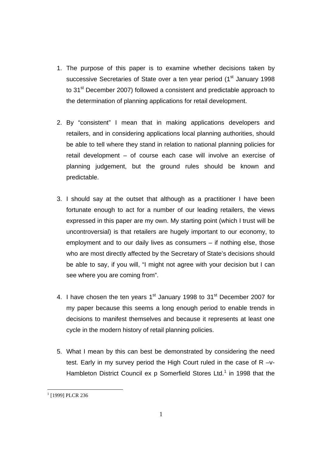- 1. The purpose of this paper is to examine whether decisions taken by successive Secretaries of State over a ten year period (1<sup>st</sup> January 1998) to 31<sup>st</sup> December 2007) followed a consistent and predictable approach to the determination of planning applications for retail development.
- 2. By "consistent" I mean that in making applications developers and retailers, and in considering applications local planning authorities, should be able to tell where they stand in relation to national planning policies for retail development – of course each case will involve an exercise of planning judgement, but the ground rules should be known and predictable.
- 3. I should say at the outset that although as a practitioner I have been fortunate enough to act for a number of our leading retailers, the views expressed in this paper are my own. My starting point (which I trust will be uncontroversial) is that retailers are hugely important to our economy, to employment and to our daily lives as consumers – if nothing else, those who are most directly affected by the Secretary of State's decisions should be able to say, if you will, "I might not agree with your decision but I can see where you are coming from".
- 4. I have chosen the ten years  $1<sup>st</sup>$  January 1998 to  $31<sup>st</sup>$  December 2007 for my paper because this seems a long enough period to enable trends in decisions to manifest themselves and because it represents at least one cycle in the modern history of retail planning policies.
- 5. What I mean by this can best be demonstrated by considering the need test. Early in my survey period the High Court ruled in the case of R –v-Hambleton District Council ex p Somerfield Stores Ltd.<sup>1</sup> in 1998 that the

<sup>&</sup>lt;sup>1</sup> [1999] PLCR 236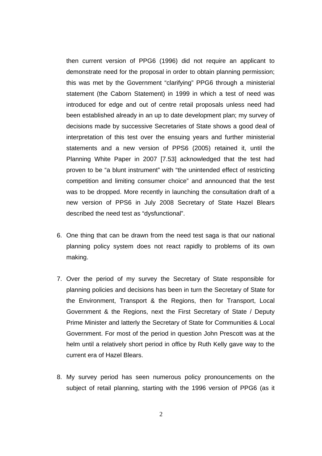then current version of PPG6 (1996) did not require an applicant to demonstrate need for the proposal in order to obtain planning permission; this was met by the Government "clarifying" PPG6 through a ministerial statement (the Caborn Statement) in 1999 in which a test of need was introduced for edge and out of centre retail proposals unless need had been established already in an up to date development plan; my survey of decisions made by successive Secretaries of State shows a good deal of interpretation of this test over the ensuing years and further ministerial statements and a new version of PPS6 (2005) retained it, until the Planning White Paper in 2007 [7.53] acknowledged that the test had proven to be "a blunt instrument" with "the unintended effect of restricting competition and limiting consumer choice" and announced that the test was to be dropped. More recently in launching the consultation draft of a new version of PPS6 in July 2008 Secretary of State Hazel Blears described the need test as "dysfunctional".

- 6. One thing that can be drawn from the need test saga is that our national planning policy system does not react rapidly to problems of its own making.
- 7. Over the period of my survey the Secretary of State responsible for planning policies and decisions has been in turn the Secretary of State for the Environment, Transport & the Regions, then for Transport, Local Government & the Regions, next the First Secretary of State / Deputy Prime Minister and latterly the Secretary of State for Communities & Local Government. For most of the period in question John Prescott was at the helm until a relatively short period in office by Ruth Kelly gave way to the current era of Hazel Blears.
- 8. My survey period has seen numerous policy pronouncements on the subject of retail planning, starting with the 1996 version of PPG6 (as it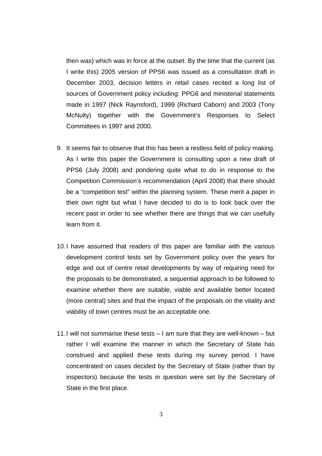then was) which was in force at the outset. By the time that the current (as I write this) 2005 version of PPS6 was issued as a consultation draft in December 2003, decision letters in retail cases recited a long list of sources of Government policy including: PPG6 and ministerial statements made in 1997 (Nick Raynsford), 1999 (Richard Caborn) and 2003 (Tony McNulty) together with the Government's Responses to Select Committees in 1997 and 2000.

- 9. It seems fair to observe that this has been a restless field of policy making. As I write this paper the Government is consulting upon a new draft of PPS6 (July 2008) and pondering quite what to do in response to the Competition Commission's recommendation (April 2008) that there should be a "competition test" within the planning system. These merit a paper in their own right but what I have decided to do is to look back over the recent past in order to see whether there are things that we can usefully learn from it.
- 10. I have assumed that readers of this paper are familiar with the various development control tests set by Government policy over the years for edge and out of centre retail developments by way of requiring need for the proposals to be demonstrated, a sequential approach to be followed to examine whether there are suitable, viable and available better located (more central) sites and that the impact of the proposals on the vitality and viability of town centres must be an acceptable one.
- 11. I will not summarise these tests I am sure that they are well-known but rather I will examine the manner in which the Secretary of State has construed and applied these tests during my survey period. I have concentrated on cases decided by the Secretary of State (rather than by inspectors) because the tests in question were set by the Secretary of State in the first place.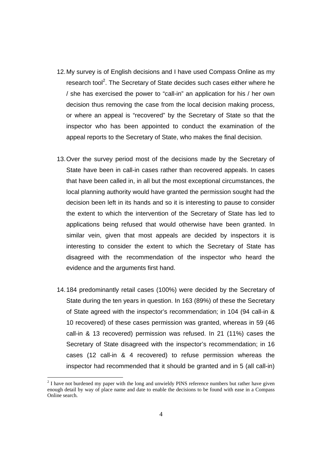- 12. My survey is of English decisions and I have used Compass Online as my research tool<sup>2</sup>. The Secretary of State decides such cases either where he / she has exercised the power to "call-in" an application for his / her own decision thus removing the case from the local decision making process, or where an appeal is "recovered" by the Secretary of State so that the inspector who has been appointed to conduct the examination of the appeal reports to the Secretary of State, who makes the final decision.
- 13. Over the survey period most of the decisions made by the Secretary of State have been in call-in cases rather than recovered appeals. In cases that have been called in, in all but the most exceptional circumstances, the local planning authority would have granted the permission sought had the decision been left in its hands and so it is interesting to pause to consider the extent to which the intervention of the Secretary of State has led to applications being refused that would otherwise have been granted. In similar vein, given that most appeals are decided by inspectors it is interesting to consider the extent to which the Secretary of State has disagreed with the recommendation of the inspector who heard the evidence and the arguments first hand.
- 14. 184 predominantly retail cases (100%) were decided by the Secretary of State during the ten years in question. In 163 (89%) of these the Secretary of State agreed with the inspector's recommendation; in 104 (94 call-in & 10 recovered) of these cases permission was granted, whereas in 59 (46 call-in & 13 recovered) permission was refused. In 21 (11%) cases the Secretary of State disagreed with the inspector's recommendation; in 16 cases (12 call-in & 4 recovered) to refuse permission whereas the inspector had recommended that it should be granted and in 5 (all call-in)

 $2<sup>2</sup>$  I have not burdened my paper with the long and unwieldy PINS reference numbers but rather have given enough detail by way of place name and date to enable the decisions to be found with ease in a Compass Online search.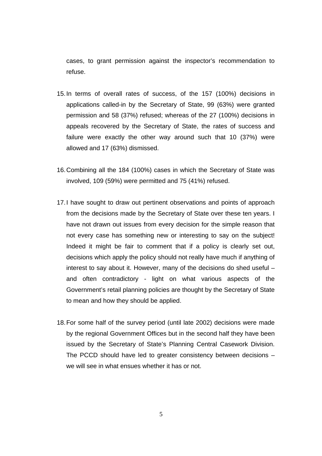cases, to grant permission against the inspector's recommendation to refuse.

- 15. In terms of overall rates of success, of the 157 (100%) decisions in applications called-in by the Secretary of State, 99 (63%) were granted permission and 58 (37%) refused; whereas of the 27 (100%) decisions in appeals recovered by the Secretary of State, the rates of success and failure were exactly the other way around such that 10 (37%) were allowed and 17 (63%) dismissed.
- 16. Combining all the 184 (100%) cases in which the Secretary of State was involved, 109 (59%) were permitted and 75 (41%) refused.
- 17. I have sought to draw out pertinent observations and points of approach from the decisions made by the Secretary of State over these ten years. I have not drawn out issues from every decision for the simple reason that not every case has something new or interesting to say on the subject! Indeed it might be fair to comment that if a policy is clearly set out, decisions which apply the policy should not really have much if anything of interest to say about it. However, many of the decisions do shed useful – and often contradictory - light on what various aspects of the Government's retail planning policies are thought by the Secretary of State to mean and how they should be applied.
- 18. For some half of the survey period (until late 2002) decisions were made by the regional Government Offices but in the second half they have been issued by the Secretary of State's Planning Central Casework Division. The PCCD should have led to greater consistency between decisions – we will see in what ensues whether it has or not.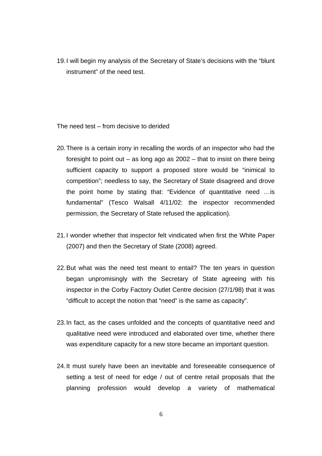19. I will begin my analysis of the Secretary of State's decisions with the "blunt instrument" of the need test.

The need test – from decisive to derided

- 20. There is a certain irony in recalling the words of an inspector who had the foresight to point out – as long ago as  $2002$  – that to insist on there being sufficient capacity to support a proposed store would be "inimical to competition"; needless to say, the Secretary of State disagreed and drove the point home by stating that: "Evidence of quantitative need …is fundamental" (Tesco Walsall 4/11/02: the inspector recommended permission, the Secretary of State refused the application).
- 21. I wonder whether that inspector felt vindicated when first the White Paper (2007) and then the Secretary of State (2008) agreed.
- 22. But what was the need test meant to entail? The ten years in question began unpromisingly with the Secretary of State agreeing with his inspector in the Corby Factory Outlet Centre decision (27/1/98) that it was "difficult to accept the notion that "need" is the same as capacity".
- 23. In fact, as the cases unfolded and the concepts of quantitative need and qualitative need were introduced and elaborated over time, whether there was expenditure capacity for a new store became an important question.
- 24. It must surely have been an inevitable and foreseeable consequence of setting a test of need for edge / out of centre retail proposals that the planning profession would develop a variety of mathematical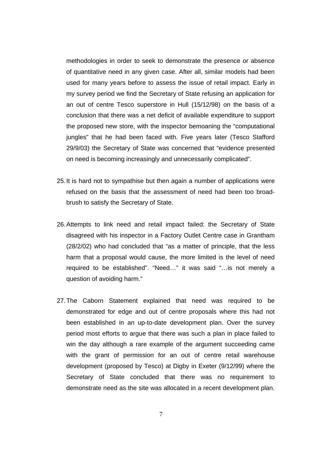methodologies in order to seek to demonstrate the presence or absence of quantitative need in any given case. After all, similar models had been used for many years before to assess the issue of retail impact. Early in my survey period we find the Secretary of State refusing an application for an out of centre Tesco superstore in Hull (15/12/98) on the basis of a conclusion that there was a net deficit of available expenditure to support the proposed new store, with the inspector bemoaning the "computational jungles" that he had been faced with. Five years later (Tesco Stafford 29/9/03) the Secretary of State was concerned that "evidence presented on need is becoming increasingly and unnecessarily complicated".

- 25. It is hard not to sympathise but then again a number of applications were refused on the basis that the assessment of need had been too broadbrush to satisfy the Secretary of State.
- 26. Attempts to link need and retail impact failed: the Secretary of State disagreed with his inspector in a Factory Outlet Centre case in Grantham (28/2/02) who had concluded that "as a matter of principle, that the less harm that a proposal would cause, the more limited is the level of need required to be established". "Need…" it was said "…is not merely a question of avoiding harm."
- 27. The Caborn Statement explained that need was required to be demonstrated for edge and out of centre proposals where this had not been established in an up-to-date development plan. Over the survey period most efforts to argue that there was such a plan in place failed to win the day although a rare example of the argument succeeding came with the grant of permission for an out of centre retail warehouse development (proposed by Tesco) at Digby in Exeter (9/12/99) where the Secretary of State concluded that there was no requirement to demonstrate need as the site was allocated in a recent development plan.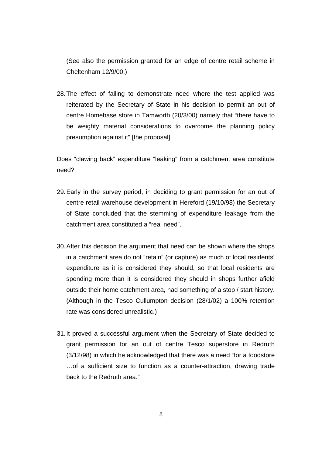(See also the permission granted for an edge of centre retail scheme in Cheltenham 12/9/00.)

28. The effect of failing to demonstrate need where the test applied was reiterated by the Secretary of State in his decision to permit an out of centre Homebase store in Tamworth (20/3/00) namely that "there have to be weighty material considerations to overcome the planning policy presumption against it" [the proposal].

Does "clawing back" expenditure "leaking" from a catchment area constitute need?

- 29. Early in the survey period, in deciding to grant permission for an out of centre retail warehouse development in Hereford (19/10/98) the Secretary of State concluded that the stemming of expenditure leakage from the catchment area constituted a "real need".
- 30. After this decision the argument that need can be shown where the shops in a catchment area do not "retain" (or capture) as much of local residents' expenditure as it is considered they should, so that local residents are spending more than it is considered they should in shops further afield outside their home catchment area, had something of a stop / start history. (Although in the Tesco Cullumpton decision (28/1/02) a 100% retention rate was considered unrealistic.)
- 31. It proved a successful argument when the Secretary of State decided to grant permission for an out of centre Tesco superstore in Redruth (3/12/98) in which he acknowledged that there was a need "for a foodstore …of a sufficient size to function as a counter-attraction, drawing trade back to the Redruth area."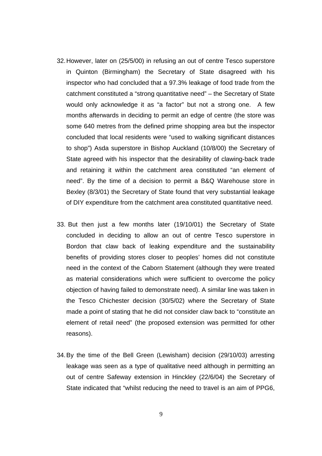- 32. However, later on (25/5/00) in refusing an out of centre Tesco superstore in Quinton (Birmingham) the Secretary of State disagreed with his inspector who had concluded that a 97.3% leakage of food trade from the catchment constituted a "strong quantitative need" – the Secretary of State would only acknowledge it as "a factor" but not a strong one. A few months afterwards in deciding to permit an edge of centre (the store was some 640 metres from the defined prime shopping area but the inspector concluded that local residents were "used to walking significant distances to shop") Asda superstore in Bishop Auckland (10/8/00) the Secretary of State agreed with his inspector that the desirability of clawing-back trade and retaining it within the catchment area constituted "an element of need". By the time of a decision to permit a B&Q Warehouse store in Bexley (8/3/01) the Secretary of State found that very substantial leakage of DIY expenditure from the catchment area constituted quantitative need.
- 33. But then just a few months later (19/10/01) the Secretary of State concluded in deciding to allow an out of centre Tesco superstore in Bordon that claw back of leaking expenditure and the sustainability benefits of providing stores closer to peoples' homes did not constitute need in the context of the Caborn Statement (although they were treated as material considerations which were sufficient to overcome the policy objection of having failed to demonstrate need). A similar line was taken in the Tesco Chichester decision (30/5/02) where the Secretary of State made a point of stating that he did not consider claw back to "constitute an element of retail need" (the proposed extension was permitted for other reasons).
- 34. By the time of the Bell Green (Lewisham) decision (29/10/03) arresting leakage was seen as a type of qualitative need although in permitting an out of centre Safeway extension in Hinckley (22/6/04) the Secretary of State indicated that "whilst reducing the need to travel is an aim of PPG6,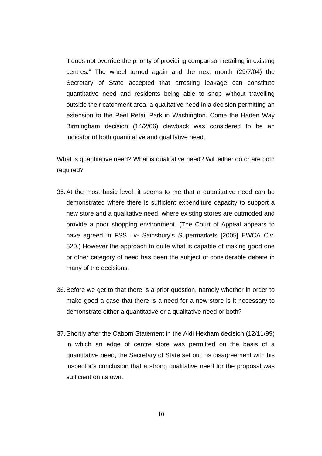it does not override the priority of providing comparison retailing in existing centres." The wheel turned again and the next month (29/7/04) the Secretary of State accepted that arresting leakage can constitute quantitative need and residents being able to shop without travelling outside their catchment area, a qualitative need in a decision permitting an extension to the Peel Retail Park in Washington. Come the Haden Way Birmingham decision (14/2/06) clawback was considered to be an indicator of both quantitative and qualitative need.

What is quantitative need? What is qualitative need? Will either do or are both required?

- 35. At the most basic level, it seems to me that a quantitative need can be demonstrated where there is sufficient expenditure capacity to support a new store and a qualitative need, where existing stores are outmoded and provide a poor shopping environment. (The Court of Appeal appears to have agreed in FSS –v- Sainsbury's Supermarkets [2005] EWCA Civ. 520.) However the approach to quite what is capable of making good one or other category of need has been the subject of considerable debate in many of the decisions.
- 36. Before we get to that there is a prior question, namely whether in order to make good a case that there is a need for a new store is it necessary to demonstrate either a quantitative or a qualitative need or both?
- 37. Shortly after the Caborn Statement in the Aldi Hexham decision (12/11/99) in which an edge of centre store was permitted on the basis of a quantitative need, the Secretary of State set out his disagreement with his inspector's conclusion that a strong qualitative need for the proposal was sufficient on its own.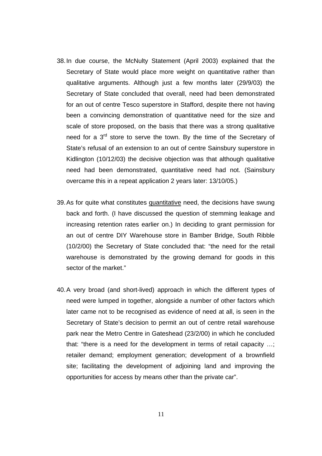- 38. In due course, the McNulty Statement (April 2003) explained that the Secretary of State would place more weight on quantitative rather than qualitative arguments. Although just a few months later (29/9/03) the Secretary of State concluded that overall, need had been demonstrated for an out of centre Tesco superstore in Stafford, despite there not having been a convincing demonstration of quantitative need for the size and scale of store proposed, on the basis that there was a strong qualitative need for a 3<sup>rd</sup> store to serve the town. By the time of the Secretary of State's refusal of an extension to an out of centre Sainsbury superstore in Kidlington (10/12/03) the decisive objection was that although qualitative need had been demonstrated, quantitative need had not. (Sainsbury overcame this in a repeat application 2 years later: 13/10/05.)
- 39. As for quite what constitutes quantitative need, the decisions have swung back and forth. (I have discussed the question of stemming leakage and increasing retention rates earlier on.) In deciding to grant permission for an out of centre DIY Warehouse store in Bamber Bridge, South Ribble (10/2/00) the Secretary of State concluded that: "the need for the retail warehouse is demonstrated by the growing demand for goods in this sector of the market."
- 40. A very broad (and short-lived) approach in which the different types of need were lumped in together, alongside a number of other factors which later came not to be recognised as evidence of need at all, is seen in the Secretary of State's decision to permit an out of centre retail warehouse park near the Metro Centre in Gateshead (23/2/00) in which he concluded that: "there is a need for the development in terms of retail capacity …; retailer demand; employment generation; development of a brownfield site; facilitating the development of adjoining land and improving the opportunities for access by means other than the private car".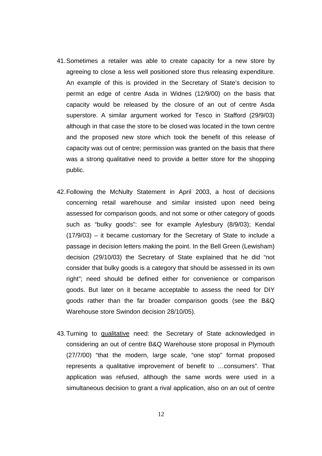- 41. Sometimes a retailer was able to create capacity for a new store by agreeing to close a less well positioned store thus releasing expenditure. An example of this is provided in the Secretary of State's decision to permit an edge of centre Asda in Widnes (12/9/00) on the basis that capacity would be released by the closure of an out of centre Asda superstore. A similar argument worked for Tesco in Stafford (29/9/03) although in that case the store to be closed was located in the town centre and the proposed new store which took the benefit of this release of capacity was out of centre; permission was granted on the basis that there was a strong qualitative need to provide a better store for the shopping public.
- 42. Following the McNulty Statement in April 2003, a host of decisions concerning retail warehouse and similar insisted upon need being assessed for comparison goods, and not some or other category of goods such as "bulky goods": see for example Aylesbury (8/9/03); Kendal (17/9/03) – it became customary for the Secretary of State to include a passage in decision letters making the point. In the Bell Green (Lewisham) decision (29/10/03) the Secretary of State explained that he did "not consider that bulky goods is a category that should be assessed in its own right"; need should be defined either for convenience or comparison goods. But later on it became acceptable to assess the need for DIY goods rather than the far broader comparison goods (see the B&Q Warehouse store Swindon decision 28/10/05).
- 43. Turning to qualitative need: the Secretary of State acknowledged in considering an out of centre B&Q Warehouse store proposal in Plymouth (27/7/00) "that the modern, large scale, "one stop" format proposed represents a qualitative improvement of benefit to …consumers". That application was refused, although the same words were used in a simultaneous decision to grant a rival application, also on an out of centre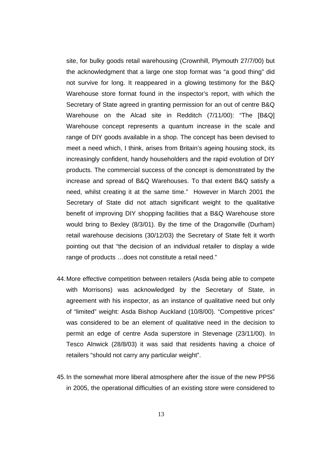site, for bulky goods retail warehousing (Crownhill, Plymouth 27/7/00) but the acknowledgment that a large one stop format was "a good thing" did not survive for long. It reappeared in a glowing testimony for the B&Q Warehouse store format found in the inspector's report, with which the Secretary of State agreed in granting permission for an out of centre B&Q Warehouse on the Alcad site in Redditch (7/11/00): "The [B&Q] Warehouse concept represents a quantum increase in the scale and range of DIY goods available in a shop. The concept has been devised to meet a need which, I think, arises from Britain's ageing housing stock, its increasingly confident, handy householders and the rapid evolution of DIY products. The commercial success of the concept is demonstrated by the increase and spread of B&Q Warehouses. To that extent B&Q satisfy a need, whilst creating it at the same time." However in March 2001 the Secretary of State did not attach significant weight to the qualitative benefit of improving DIY shopping facilities that a B&Q Warehouse store would bring to Bexley (8/3/01). By the time of the Dragonville (Durham) retail warehouse decisions (30/12/03) the Secretary of State felt it worth pointing out that "the decision of an individual retailer to display a wide range of products …does not constitute a retail need."

- 44. More effective competition between retailers (Asda being able to compete with Morrisons) was acknowledged by the Secretary of State, in agreement with his inspector, as an instance of qualitative need but only of "limited" weight: Asda Bishop Auckland (10/8/00). "Competitive prices" was considered to be an element of qualitative need in the decision to permit an edge of centre Asda superstore in Stevenage (23/11/00). In Tesco Alnwick (28/8/03) it was said that residents having a choice of retailers "should not carry any particular weight".
- 45. In the somewhat more liberal atmosphere after the issue of the new PPS6 in 2005, the operational difficulties of an existing store were considered to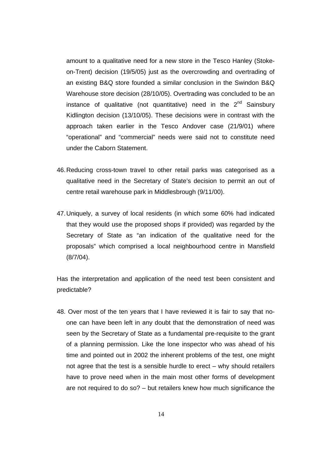amount to a qualitative need for a new store in the Tesco Hanley (Stokeon-Trent) decision (19/5/05) just as the overcrowding and overtrading of an existing B&Q store founded a similar conclusion in the Swindon B&Q Warehouse store decision (28/10/05). Overtrading was concluded to be an instance of qualitative (not quantitative) need in the  $2<sup>nd</sup>$  Sainsbury Kidlington decision (13/10/05). These decisions were in contrast with the approach taken earlier in the Tesco Andover case (21/9/01) where "operational" and "commercial" needs were said not to constitute need under the Caborn Statement.

- 46. Reducing cross-town travel to other retail parks was categorised as a qualitative need in the Secretary of State's decision to permit an out of centre retail warehouse park in Middlesbrough (9/11/00).
- 47. Uniquely, a survey of local residents (in which some 60% had indicated that they would use the proposed shops if provided) was regarded by the Secretary of State as "an indication of the qualitative need for the proposals" which comprised a local neighbourhood centre in Mansfield (8/7/04).

Has the interpretation and application of the need test been consistent and predictable?

48. Over most of the ten years that I have reviewed it is fair to say that noone can have been left in any doubt that the demonstration of need was seen by the Secretary of State as a fundamental pre-requisite to the grant of a planning permission. Like the lone inspector who was ahead of his time and pointed out in 2002 the inherent problems of the test, one might not agree that the test is a sensible hurdle to erect – why should retailers have to prove need when in the main most other forms of development are not required to do so? – but retailers knew how much significance the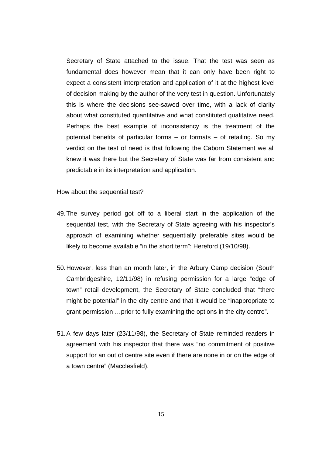Secretary of State attached to the issue. That the test was seen as fundamental does however mean that it can only have been right to expect a consistent interpretation and application of it at the highest level of decision making by the author of the very test in question. Unfortunately this is where the decisions see-sawed over time, with a lack of clarity about what constituted quantitative and what constituted qualitative need. Perhaps the best example of inconsistency is the treatment of the potential benefits of particular forms – or formats – of retailing. So my verdict on the test of need is that following the Caborn Statement we all knew it was there but the Secretary of State was far from consistent and predictable in its interpretation and application.

How about the sequential test?

- 49. The survey period got off to a liberal start in the application of the sequential test, with the Secretary of State agreeing with his inspector's approach of examining whether sequentially preferable sites would be likely to become available "in the short term": Hereford (19/10/98).
- 50. However, less than an month later, in the Arbury Camp decision (South Cambridgeshire, 12/11/98) in refusing permission for a large "edge of town" retail development, the Secretary of State concluded that "there might be potential" in the city centre and that it would be "inappropriate to grant permission …prior to fully examining the options in the city centre".
- 51. A few days later (23/11/98), the Secretary of State reminded readers in agreement with his inspector that there was "no commitment of positive support for an out of centre site even if there are none in or on the edge of a town centre" (Macclesfield).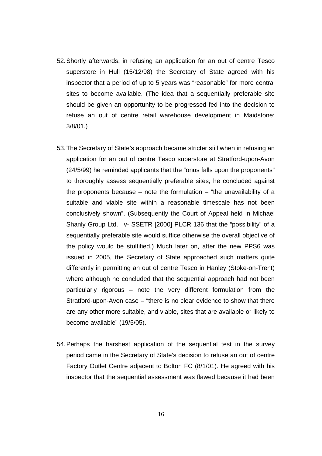- 52. Shortly afterwards, in refusing an application for an out of centre Tesco superstore in Hull (15/12/98) the Secretary of State agreed with his inspector that a period of up to 5 years was "reasonable" for more central sites to become available. (The idea that a sequentially preferable site should be given an opportunity to be progressed fed into the decision to refuse an out of centre retail warehouse development in Maidstone: 3/8/01.)
- 53. The Secretary of State's approach became stricter still when in refusing an application for an out of centre Tesco superstore at Stratford-upon-Avon (24/5/99) he reminded applicants that the "onus falls upon the proponents" to thoroughly assess sequentially preferable sites; he concluded against the proponents because – note the formulation – "the unavailability of a suitable and viable site within a reasonable timescale has not been conclusively shown". (Subsequently the Court of Appeal held in Michael Shanly Group Ltd. –v- SSETR [2000] PLCR 136 that the "possibility" of a sequentially preferable site would suffice otherwise the overall objective of the policy would be stultified.) Much later on, after the new PPS6 was issued in 2005, the Secretary of State approached such matters quite differently in permitting an out of centre Tesco in Hanley (Stoke-on-Trent) where although he concluded that the sequential approach had not been particularly rigorous – note the very different formulation from the Stratford-upon-Avon case – "there is no clear evidence to show that there are any other more suitable, and viable, sites that are available or likely to become available" (19/5/05).
- 54. Perhaps the harshest application of the sequential test in the survey period came in the Secretary of State's decision to refuse an out of centre Factory Outlet Centre adjacent to Bolton FC (8/1/01). He agreed with his inspector that the sequential assessment was flawed because it had been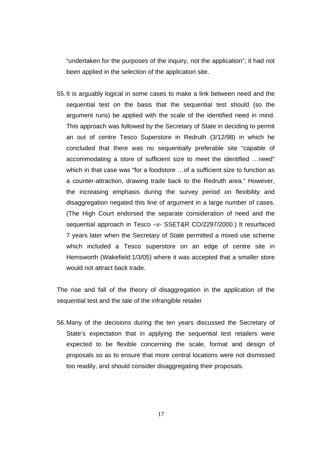"undertaken for the purposes of the inquiry, not the application"; it had not been applied in the selection of the application site.

55. It is arguably logical in some cases to make a link between need and the sequential test on the basis that the sequential test should (so the argument runs) be applied with the scale of the identified need in mind. This approach was followed by the Secretary of State in deciding to permit an out of centre Tesco Superstore in Redruth (3/12/98) in which he concluded that there was no sequentially preferable site "capable of accommodating a store of sufficient size to meet the identified …need" which in that case was "for a foodstore …of a sufficient size to function as a counter-attraction, drawing trade back to the Redruth area." However, the increasing emphasis during the survey period on flexibility and disaggregation negated this line of argument in a large number of cases. (The High Court endorsed the separate consideration of need and the sequential approach in Tesco –v- SSET&R CO/2297/2000.) It resurfaced 7 years later when the Secretary of State permitted a mixed use scheme which included a Tesco superstore on an edge of centre site in Hemsworth (Wakefield:1/3/05) where it was accepted that a smaller store would not attract back trade.

The rise and fall of the theory of disaggregation in the application of the sequential test and the tale of the infrangible retailer

56. Many of the decisions during the ten years discussed the Secretary of State's expectation that in applying the sequential test retailers were expected to be flexible concerning the scale, format and design of proposals so as to ensure that more central locations were not dismissed too readily, and should consider disaggregating their proposals.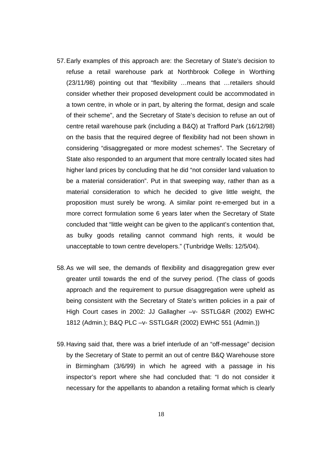- 57. Early examples of this approach are: the Secretary of State's decision to refuse a retail warehouse park at Northbrook College in Worthing (23/11/98) pointing out that "flexibility …means that …retailers should consider whether their proposed development could be accommodated in a town centre, in whole or in part, by altering the format, design and scale of their scheme", and the Secretary of State's decision to refuse an out of centre retail warehouse park (including a B&Q) at Trafford Park (16/12/98) on the basis that the required degree of flexibility had not been shown in considering "disaggregated or more modest schemes". The Secretary of State also responded to an argument that more centrally located sites had higher land prices by concluding that he did "not consider land valuation to be a material consideration". Put in that sweeping way, rather than as a material consideration to which he decided to give little weight, the proposition must surely be wrong. A similar point re-emerged but in a more correct formulation some 6 years later when the Secretary of State concluded that "little weight can be given to the applicant's contention that, as bulky goods retailing cannot command high rents, it would be unacceptable to town centre developers." (Tunbridge Wells: 12/5/04).
- 58. As we will see, the demands of flexibility and disaggregation grew ever greater until towards the end of the survey period. (The class of goods approach and the requirement to pursue disaggregation were upheld as being consistent with the Secretary of State's written policies in a pair of High Court cases in 2002: JJ Gallagher –v- SSTLG&R (2002) EWHC 1812 (Admin.); B&Q PLC –v- SSTLG&R (2002) EWHC 551 (Admin.))
- 59. Having said that, there was a brief interlude of an "off-message" decision by the Secretary of State to permit an out of centre B&Q Warehouse store in Birmingham (3/6/99) in which he agreed with a passage in his inspector's report where she had concluded that: "I do not consider it necessary for the appellants to abandon a retailing format which is clearly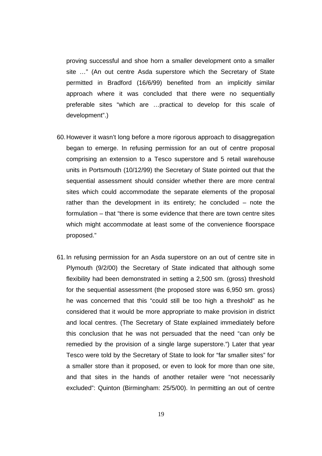proving successful and shoe horn a smaller development onto a smaller site …" (An out centre Asda superstore which the Secretary of State permitted in Bradford (16/6/99) benefited from an implicitly similar approach where it was concluded that there were no sequentially preferable sites "which are …practical to develop for this scale of development".)

- 60. However it wasn't long before a more rigorous approach to disaggregation began to emerge. In refusing permission for an out of centre proposal comprising an extension to a Tesco superstore and 5 retail warehouse units in Portsmouth (10/12/99) the Secretary of State pointed out that the sequential assessment should consider whether there are more central sites which could accommodate the separate elements of the proposal rather than the development in its entirety; he concluded – note the formulation – that "there is some evidence that there are town centre sites which might accommodate at least some of the convenience floorspace proposed."
- 61. In refusing permission for an Asda superstore on an out of centre site in Plymouth (9/2/00) the Secretary of State indicated that although some flexibility had been demonstrated in setting a 2,500 sm. (gross) threshold for the sequential assessment (the proposed store was 6,950 sm. gross) he was concerned that this "could still be too high a threshold" as he considered that it would be more appropriate to make provision in district and local centres. (The Secretary of State explained immediately before this conclusion that he was not persuaded that the need "can only be remedied by the provision of a single large superstore.") Later that year Tesco were told by the Secretary of State to look for "far smaller sites" for a smaller store than it proposed, or even to look for more than one site, and that sites in the hands of another retailer were "not necessarily excluded": Quinton (Birmingham: 25/5/00). In permitting an out of centre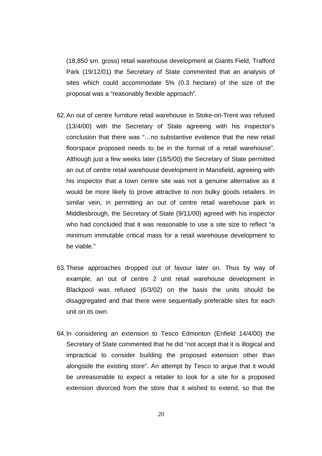(18,850 sm. gross) retail warehouse development at Giants Field, Trafford Park (19/12/01) the Secretary of State commented that an analysis of sites which could accommodate 5% (0.3 hectare) of the size of the proposal was a "reasonably flexible approach".

- 62. An out of centre furniture retail warehouse in Stoke-on-Trent was refused (13/4/00) with the Secretary of State agreeing with his inspector's conclusion that there was "…no substantive evidence that the new retail floorspace proposed needs to be in the format of a retail warehouse". Although just a few weeks later (18/5/00) the Secretary of State permitted an out of centre retail warehouse development in Mansfield, agreeing with his inspector that a town centre site was not a genuine alternative as it would be more likely to prove attractive to non bulky goods retailers. In similar vein, in permitting an out of centre retail warehouse park in Middlesbrough, the Secretary of State (9/11/00) agreed with his inspector who had concluded that it was reasonable to use a site size to reflect "a minimum immutable critical mass for a retail warehouse development to be viable."
- 63. These approaches dropped out of favour later on. Thus by way of example, an out of centre 2 unit retail warehouse development in Blackpool was refused (6/3/02) on the basis the units should be disaggregated and that there were sequentially preferable sites for each unit on its own.
- 64. In considering an extension to Tesco Edmonton (Enfield 14/4/00) the Secretary of State commented that he did "not accept that it is illogical and impractical to consider building the proposed extension other than alongside the existing store". An attempt by Tesco to argue that it would be unreasonable to expect a retailer to look for a site for a proposed extension divorced from the store that it wished to extend, so that the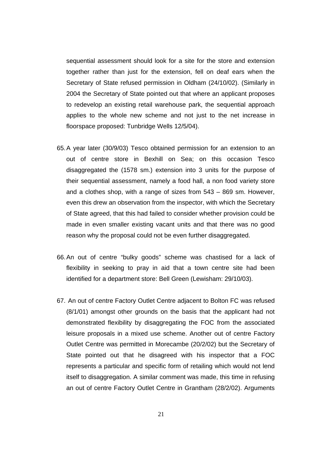sequential assessment should look for a site for the store and extension together rather than just for the extension, fell on deaf ears when the Secretary of State refused permission in Oldham (24/10/02). (Similarly in 2004 the Secretary of State pointed out that where an applicant proposes to redevelop an existing retail warehouse park, the sequential approach applies to the whole new scheme and not just to the net increase in floorspace proposed: Tunbridge Wells 12/5/04).

- 65. A year later (30/9/03) Tesco obtained permission for an extension to an out of centre store in Bexhill on Sea; on this occasion Tesco disaggregated the (1578 sm.) extension into 3 units for the purpose of their sequential assessment, namely a food hall, a non food variety store and a clothes shop, with a range of sizes from 543 – 869 sm. However, even this drew an observation from the inspector, with which the Secretary of State agreed, that this had failed to consider whether provision could be made in even smaller existing vacant units and that there was no good reason why the proposal could not be even further disaggregated.
- 66. An out of centre "bulky goods" scheme was chastised for a lack of flexibility in seeking to pray in aid that a town centre site had been identified for a department store: Bell Green (Lewisham: 29/10/03).
- 67. An out of centre Factory Outlet Centre adjacent to Bolton FC was refused (8/1/01) amongst other grounds on the basis that the applicant had not demonstrated flexibility by disaggregating the FOC from the associated leisure proposals in a mixed use scheme. Another out of centre Factory Outlet Centre was permitted in Morecambe (20/2/02) but the Secretary of State pointed out that he disagreed with his inspector that a FOC represents a particular and specific form of retailing which would not lend itself to disaggregation. A similar comment was made, this time in refusing an out of centre Factory Outlet Centre in Grantham (28/2/02). Arguments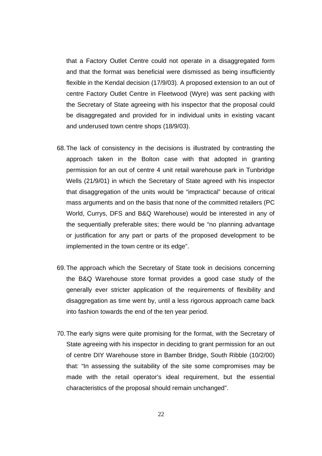that a Factory Outlet Centre could not operate in a disaggregated form and that the format was beneficial were dismissed as being insufficiently flexible in the Kendal decision (17/9/03). A proposed extension to an out of centre Factory Outlet Centre in Fleetwood (Wyre) was sent packing with the Secretary of State agreeing with his inspector that the proposal could be disaggregated and provided for in individual units in existing vacant and underused town centre shops (18/9/03).

- 68. The lack of consistency in the decisions is illustrated by contrasting the approach taken in the Bolton case with that adopted in granting permission for an out of centre 4 unit retail warehouse park in Tunbridge Wells (21/9/01) in which the Secretary of State agreed with his inspector that disaggregation of the units would be "impractical" because of critical mass arguments and on the basis that none of the committed retailers (PC World, Currys, DFS and B&Q Warehouse) would be interested in any of the sequentially preferable sites; there would be "no planning advantage or justification for any part or parts of the proposed development to be implemented in the town centre or its edge".
- 69. The approach which the Secretary of State took in decisions concerning the B&Q Warehouse store format provides a good case study of the generally ever stricter application of the requirements of flexibility and disaggregation as time went by, until a less rigorous approach came back into fashion towards the end of the ten year period.
- 70. The early signs were quite promising for the format, with the Secretary of State agreeing with his inspector in deciding to grant permission for an out of centre DIY Warehouse store in Bamber Bridge, South Ribble (10/2/00) that: "In assessing the suitability of the site some compromises may be made with the retail operator's ideal requirement, but the essential characteristics of the proposal should remain unchanged".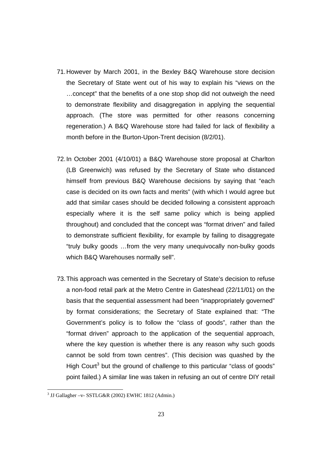- 71. However by March 2001, in the Bexley B&Q Warehouse store decision the Secretary of State went out of his way to explain his "views on the …concept" that the benefits of a one stop shop did not outweigh the need to demonstrate flexibility and disaggregation in applying the sequential approach. (The store was permitted for other reasons concerning regeneration.) A B&Q Warehouse store had failed for lack of flexibility a month before in the Burton-Upon-Trent decision (8/2/01).
- 72. In October 2001 (4/10/01) a B&Q Warehouse store proposal at Charlton (LB Greenwich) was refused by the Secretary of State who distanced himself from previous B&Q Warehouse decisions by saying that "each case is decided on its own facts and merits" (with which I would agree but add that similar cases should be decided following a consistent approach especially where it is the self same policy which is being applied throughout) and concluded that the concept was "format driven" and failed to demonstrate sufficient flexibility, for example by failing to disaggregate "truly bulky goods …from the very many unequivocally non-bulky goods which B&Q Warehouses normally sell".
- 73. This approach was cemented in the Secretary of State's decision to refuse a non-food retail park at the Metro Centre in Gateshead (22/11/01) on the basis that the sequential assessment had been "inappropriately governed" by format considerations; the Secretary of State explained that: "The Government's policy is to follow the "class of goods", rather than the "format driven" approach to the application of the sequential approach, where the key question is whether there is any reason why such goods cannot be sold from town centres". (This decision was quashed by the High Court<sup>3</sup> but the ground of challenge to this particular "class of goods" point failed.) A similar line was taken in refusing an out of centre DIY retail

 3 JJ Gallagher –v- SSTLG&R (2002) EWHC 1812 (Admin.)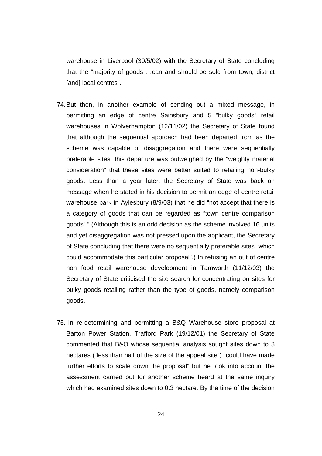warehouse in Liverpool (30/5/02) with the Secretary of State concluding that the "majority of goods …can and should be sold from town, district [and] local centres".

- 74. But then, in another example of sending out a mixed message, in permitting an edge of centre Sainsbury and 5 "bulky goods" retail warehouses in Wolverhampton (12/11/02) the Secretary of State found that although the sequential approach had been departed from as the scheme was capable of disaggregation and there were sequentially preferable sites, this departure was outweighed by the "weighty material consideration" that these sites were better suited to retailing non-bulky goods. Less than a year later, the Secretary of State was back on message when he stated in his decision to permit an edge of centre retail warehouse park in Aylesbury (8/9/03) that he did "not accept that there is a category of goods that can be regarded as "town centre comparison goods"." (Although this is an odd decision as the scheme involved 16 units and yet disaggregation was not pressed upon the applicant, the Secretary of State concluding that there were no sequentially preferable sites "which could accommodate this particular proposal".) In refusing an out of centre non food retail warehouse development in Tamworth (11/12/03) the Secretary of State criticised the site search for concentrating on sites for bulky goods retailing rather than the type of goods, namely comparison goods.
- 75. In re-determining and permitting a B&Q Warehouse store proposal at Barton Power Station, Trafford Park (19/12/01) the Secretary of State commented that B&Q whose sequential analysis sought sites down to 3 hectares ("less than half of the size of the appeal site") "could have made further efforts to scale down the proposal" but he took into account the assessment carried out for another scheme heard at the same inquiry which had examined sites down to 0.3 hectare. By the time of the decision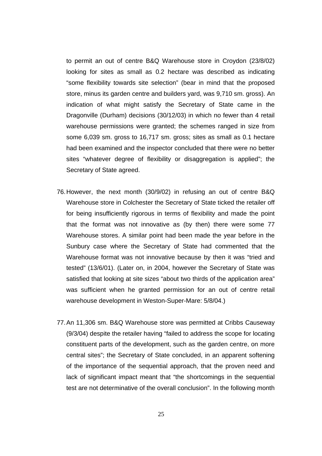to permit an out of centre B&Q Warehouse store in Croydon (23/8/02) looking for sites as small as 0.2 hectare was described as indicating "some flexibility towards site selection" (bear in mind that the proposed store, minus its garden centre and builders yard, was 9,710 sm. gross). An indication of what might satisfy the Secretary of State came in the Dragonville (Durham) decisions (30/12/03) in which no fewer than 4 retail warehouse permissions were granted; the schemes ranged in size from some 6,039 sm. gross to 16,717 sm. gross; sites as small as 0.1 hectare had been examined and the inspector concluded that there were no better sites "whatever degree of flexibility or disaggregation is applied"; the Secretary of State agreed.

- 76. However, the next month (30/9/02) in refusing an out of centre B&Q Warehouse store in Colchester the Secretary of State ticked the retailer off for being insufficiently rigorous in terms of flexibility and made the point that the format was not innovative as (by then) there were some 77 Warehouse stores. A similar point had been made the year before in the Sunbury case where the Secretary of State had commented that the Warehouse format was not innovative because by then it was "tried and tested" (13/6/01). (Later on, in 2004, however the Secretary of State was satisfied that looking at site sizes "about two thirds of the application area" was sufficient when he granted permission for an out of centre retail warehouse development in Weston-Super-Mare: 5/8/04.)
- 77. An 11,306 sm. B&Q Warehouse store was permitted at Cribbs Causeway (9/3/04) despite the retailer having "failed to address the scope for locating constituent parts of the development, such as the garden centre, on more central sites"; the Secretary of State concluded, in an apparent softening of the importance of the sequential approach, that the proven need and lack of significant impact meant that "the shortcomings in the sequential test are not determinative of the overall conclusion". In the following month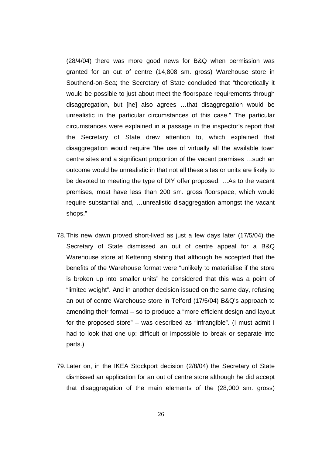(28/4/04) there was more good news for B&Q when permission was granted for an out of centre (14,808 sm. gross) Warehouse store in Southend-on-Sea; the Secretary of State concluded that "theoretically it would be possible to just about meet the floorspace requirements through disaggregation, but [he] also agrees …that disaggregation would be unrealistic in the particular circumstances of this case." The particular circumstances were explained in a passage in the inspector's report that the Secretary of State drew attention to, which explained that disaggregation would require "the use of virtually all the available town centre sites and a significant proportion of the vacant premises …such an outcome would be unrealistic in that not all these sites or units are likely to be devoted to meeting the type of DIY offer proposed. …As to the vacant premises, most have less than 200 sm. gross floorspace, which would require substantial and, …unrealistic disaggregation amongst the vacant shops."

- 78. This new dawn proved short-lived as just a few days later (17/5/04) the Secretary of State dismissed an out of centre appeal for a B&Q Warehouse store at Kettering stating that although he accepted that the benefits of the Warehouse format were "unlikely to materialise if the store is broken up into smaller units" he considered that this was a point of "limited weight". And in another decision issued on the same day, refusing an out of centre Warehouse store in Telford (17/5/04) B&Q's approach to amending their format – so to produce a "more efficient design and layout for the proposed store" – was described as "infrangible". (I must admit I had to look that one up: difficult or impossible to break or separate into parts.)
- 79. Later on, in the IKEA Stockport decision (2/8/04) the Secretary of State dismissed an application for an out of centre store although he did accept that disaggregation of the main elements of the (28,000 sm. gross)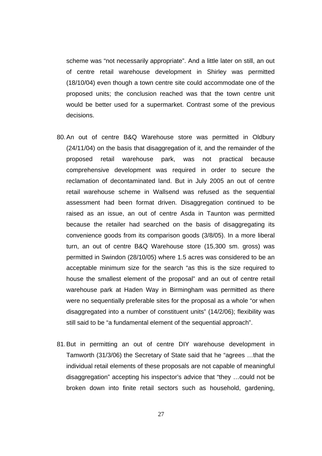scheme was "not necessarily appropriate". And a little later on still, an out of centre retail warehouse development in Shirley was permitted (18/10/04) even though a town centre site could accommodate one of the proposed units; the conclusion reached was that the town centre unit would be better used for a supermarket. Contrast some of the previous decisions.

- 80. An out of centre B&Q Warehouse store was permitted in Oldbury (24/11/04) on the basis that disaggregation of it, and the remainder of the proposed retail warehouse park, was not practical because comprehensive development was required in order to secure the reclamation of decontaminated land. But in July 2005 an out of centre retail warehouse scheme in Wallsend was refused as the sequential assessment had been format driven. Disaggregation continued to be raised as an issue, an out of centre Asda in Taunton was permitted because the retailer had searched on the basis of disaggregating its convenience goods from its comparison goods (3/8/05). In a more liberal turn, an out of centre B&Q Warehouse store (15,300 sm. gross) was permitted in Swindon (28/10/05) where 1.5 acres was considered to be an acceptable minimum size for the search "as this is the size required to house the smallest element of the proposal" and an out of centre retail warehouse park at Haden Way in Birmingham was permitted as there were no sequentially preferable sites for the proposal as a whole "or when disaggregated into a number of constituent units" (14/2/06); flexibility was still said to be "a fundamental element of the sequential approach".
- 81. But in permitting an out of centre DIY warehouse development in Tamworth (31/3/06) the Secretary of State said that he "agrees …that the individual retail elements of these proposals are not capable of meaningful disaggregation" accepting his inspector's advice that "they …could not be broken down into finite retail sectors such as household, gardening,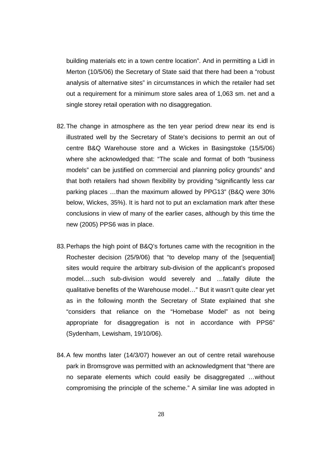building materials etc in a town centre location". And in permitting a Lidl in Merton (10/5/06) the Secretary of State said that there had been a "robust analysis of alternative sites" in circumstances in which the retailer had set out a requirement for a minimum store sales area of 1,063 sm. net and a single storey retail operation with no disaggregation.

- 82. The change in atmosphere as the ten year period drew near its end is illustrated well by the Secretary of State's decisions to permit an out of centre B&Q Warehouse store and a Wickes in Basingstoke (15/5/06) where she acknowledged that: "The scale and format of both "business models" can be justified on commercial and planning policy grounds" and that both retailers had shown flexibility by providing "significantly less car parking places …than the maximum allowed by PPG13" (B&Q were 30% below, Wickes, 35%). It is hard not to put an exclamation mark after these conclusions in view of many of the earlier cases, although by this time the new (2005) PPS6 was in place.
- 83. Perhaps the high point of B&Q's fortunes came with the recognition in the Rochester decision (25/9/06) that "to develop many of the [sequential] sites would require the arbitrary sub-division of the applicant's proposed model.…such sub-division would severely and …fatally dilute the qualitative benefits of the Warehouse model…" But it wasn't quite clear yet as in the following month the Secretary of State explained that she "considers that reliance on the "Homebase Model" as not being appropriate for disaggregation is not in accordance with PPS6" (Sydenham, Lewisham, 19/10/06).
- 84. A few months later (14/3/07) however an out of centre retail warehouse park in Bromsgrove was permitted with an acknowledgment that "there are no separate elements which could easily be disaggregated …without compromising the principle of the scheme." A similar line was adopted in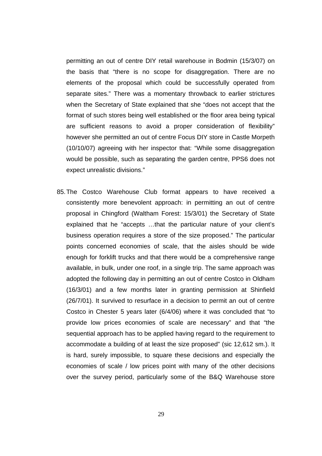permitting an out of centre DIY retail warehouse in Bodmin (15/3/07) on the basis that "there is no scope for disaggregation. There are no elements of the proposal which could be successfully operated from separate sites." There was a momentary throwback to earlier strictures when the Secretary of State explained that she "does not accept that the format of such stores being well established or the floor area being typical are sufficient reasons to avoid a proper consideration of flexibility" however she permitted an out of centre Focus DIY store in Castle Morpeth (10/10/07) agreeing with her inspector that: "While some disaggregation would be possible, such as separating the garden centre, PPS6 does not expect unrealistic divisions."

85. The Costco Warehouse Club format appears to have received a consistently more benevolent approach: in permitting an out of centre proposal in Chingford (Waltham Forest: 15/3/01) the Secretary of State explained that he "accepts …that the particular nature of your client's business operation requires a store of the size proposed." The particular points concerned economies of scale, that the aisles should be wide enough for forklift trucks and that there would be a comprehensive range available, in bulk, under one roof, in a single trip. The same approach was adopted the following day in permitting an out of centre Costco in Oldham (16/3/01) and a few months later in granting permission at Shinfield (26/7/01). It survived to resurface in a decision to permit an out of centre Costco in Chester 5 years later (6/4/06) where it was concluded that "to provide low prices economies of scale are necessary" and that "the sequential approach has to be applied having regard to the requirement to accommodate a building of at least the size proposed" (sic 12,612 sm.). It is hard, surely impossible, to square these decisions and especially the economies of scale / low prices point with many of the other decisions over the survey period, particularly some of the B&Q Warehouse store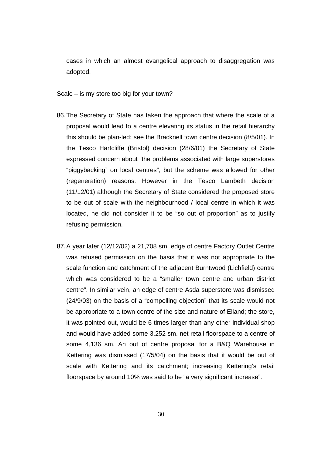cases in which an almost evangelical approach to disaggregation was adopted.

Scale – is my store too big for your town?

- 86. The Secretary of State has taken the approach that where the scale of a proposal would lead to a centre elevating its status in the retail hierarchy this should be plan-led: see the Bracknell town centre decision (8/5/01). In the Tesco Hartcliffe (Bristol) decision (28/6/01) the Secretary of State expressed concern about "the problems associated with large superstores "piggybacking" on local centres", but the scheme was allowed for other (regeneration) reasons. However in the Tesco Lambeth decision (11/12/01) although the Secretary of State considered the proposed store to be out of scale with the neighbourhood / local centre in which it was located, he did not consider it to be "so out of proportion" as to justify refusing permission.
- 87. A year later (12/12/02) a 21,708 sm. edge of centre Factory Outlet Centre was refused permission on the basis that it was not appropriate to the scale function and catchment of the adjacent Burntwood (Lichfield) centre which was considered to be a "smaller town centre and urban district centre". In similar vein, an edge of centre Asda superstore was dismissed (24/9/03) on the basis of a "compelling objection" that its scale would not be appropriate to a town centre of the size and nature of Elland; the store, it was pointed out, would be 6 times larger than any other individual shop and would have added some 3,252 sm. net retail floorspace to a centre of some 4,136 sm. An out of centre proposal for a B&Q Warehouse in Kettering was dismissed (17/5/04) on the basis that it would be out of scale with Kettering and its catchment; increasing Kettering's retail floorspace by around 10% was said to be "a very significant increase".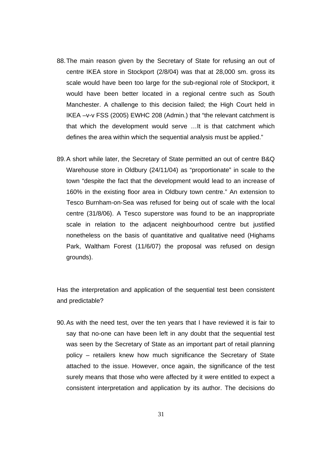- 88. The main reason given by the Secretary of State for refusing an out of centre IKEA store in Stockport (2/8/04) was that at 28,000 sm. gross its scale would have been too large for the sub-regional role of Stockport, it would have been better located in a regional centre such as South Manchester. A challenge to this decision failed; the High Court held in IKEA –v-v FSS (2005) EWHC 208 (Admin.) that "the relevant catchment is that which the development would serve …It is that catchment which defines the area within which the sequential analysis must be applied."
- 89. A short while later, the Secretary of State permitted an out of centre B&Q Warehouse store in Oldbury (24/11/04) as "proportionate" in scale to the town "despite the fact that the development would lead to an increase of 160% in the existing floor area in Oldbury town centre." An extension to Tesco Burnham-on-Sea was refused for being out of scale with the local centre (31/8/06). A Tesco superstore was found to be an inappropriate scale in relation to the adjacent neighbourhood centre but justified nonetheless on the basis of quantitative and qualitative need (Highams Park, Waltham Forest (11/6/07) the proposal was refused on design grounds).

Has the interpretation and application of the sequential test been consistent and predictable?

90. As with the need test, over the ten years that I have reviewed it is fair to say that no-one can have been left in any doubt that the sequential test was seen by the Secretary of State as an important part of retail planning policy – retailers knew how much significance the Secretary of State attached to the issue. However, once again, the significance of the test surely means that those who were affected by it were entitled to expect a consistent interpretation and application by its author. The decisions do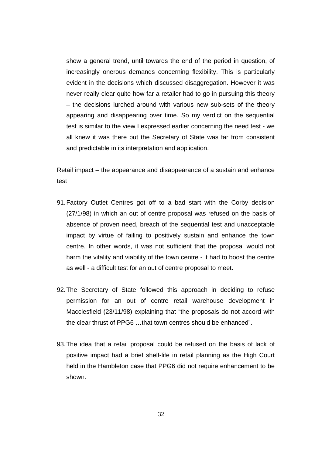show a general trend, until towards the end of the period in question, of increasingly onerous demands concerning flexibility. This is particularly evident in the decisions which discussed disaggregation. However it was never really clear quite how far a retailer had to go in pursuing this theory – the decisions lurched around with various new sub-sets of the theory appearing and disappearing over time. So my verdict on the sequential test is similar to the view I expressed earlier concerning the need test - we all knew it was there but the Secretary of State was far from consistent and predictable in its interpretation and application.

Retail impact – the appearance and disappearance of a sustain and enhance test

- 91. Factory Outlet Centres got off to a bad start with the Corby decision (27/1/98) in which an out of centre proposal was refused on the basis of absence of proven need, breach of the sequential test and unacceptable impact by virtue of failing to positively sustain and enhance the town centre. In other words, it was not sufficient that the proposal would not harm the vitality and viability of the town centre - it had to boost the centre as well - a difficult test for an out of centre proposal to meet.
- 92. The Secretary of State followed this approach in deciding to refuse permission for an out of centre retail warehouse development in Macclesfield (23/11/98) explaining that "the proposals do not accord with the clear thrust of PPG6 …that town centres should be enhanced".
- 93. The idea that a retail proposal could be refused on the basis of lack of positive impact had a brief shelf-life in retail planning as the High Court held in the Hambleton case that PPG6 did not require enhancement to be shown.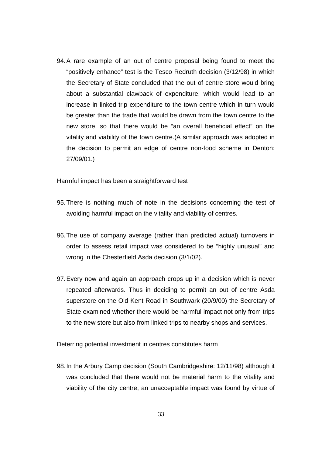94. A rare example of an out of centre proposal being found to meet the "positively enhance" test is the Tesco Redruth decision (3/12/98) in which the Secretary of State concluded that the out of centre store would bring about a substantial clawback of expenditure, which would lead to an increase in linked trip expenditure to the town centre which in turn would be greater than the trade that would be drawn from the town centre to the new store, so that there would be "an overall beneficial effect" on the vitality and viability of the town centre.(A similar approach was adopted in the decision to permit an edge of centre non-food scheme in Denton: 27/09/01.)

Harmful impact has been a straightforward test

- 95. There is nothing much of note in the decisions concerning the test of avoiding harmful impact on the vitality and viability of centres.
- 96. The use of company average (rather than predicted actual) turnovers in order to assess retail impact was considered to be "highly unusual" and wrong in the Chesterfield Asda decision (3/1/02).
- 97. Every now and again an approach crops up in a decision which is never repeated afterwards. Thus in deciding to permit an out of centre Asda superstore on the Old Kent Road in Southwark (20/9/00) the Secretary of State examined whether there would be harmful impact not only from trips to the new store but also from linked trips to nearby shops and services.

Deterring potential investment in centres constitutes harm

98. In the Arbury Camp decision (South Cambridgeshire: 12/11/98) although it was concluded that there would not be material harm to the vitality and viability of the city centre, an unacceptable impact was found by virtue of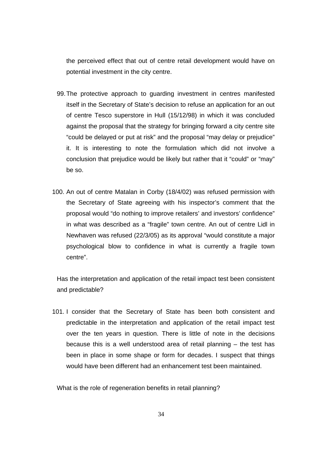the perceived effect that out of centre retail development would have on potential investment in the city centre.

- 99. The protective approach to guarding investment in centres manifested itself in the Secretary of State's decision to refuse an application for an out of centre Tesco superstore in Hull (15/12/98) in which it was concluded against the proposal that the strategy for bringing forward a city centre site "could be delayed or put at risk" and the proposal "may delay or prejudice" it. It is interesting to note the formulation which did not involve a conclusion that prejudice would be likely but rather that it "could" or "may" be so.
- 100. An out of centre Matalan in Corby (18/4/02) was refused permission with the Secretary of State agreeing with his inspector's comment that the proposal would "do nothing to improve retailers' and investors' confidence" in what was described as a "fragile" town centre. An out of centre Lidl in Newhaven was refused (22/3/05) as its approval "would constitute a major psychological blow to confidence in what is currently a fragile town centre".

Has the interpretation and application of the retail impact test been consistent and predictable?

101. I consider that the Secretary of State has been both consistent and predictable in the interpretation and application of the retail impact test over the ten years in question. There is little of note in the decisions because this is a well understood area of retail planning – the test has been in place in some shape or form for decades. I suspect that things would have been different had an enhancement test been maintained.

What is the role of regeneration benefits in retail planning?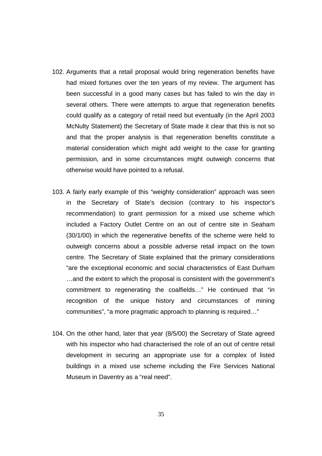- 102. Arguments that a retail proposal would bring regeneration benefits have had mixed fortunes over the ten years of my review. The argument has been successful in a good many cases but has failed to win the day in several others. There were attempts to argue that regeneration benefits could qualify as a category of retail need but eventually (in the April 2003 McNulty Statement) the Secretary of State made it clear that this is not so and that the proper analysis is that regeneration benefits constitute a material consideration which might add weight to the case for granting permission, and in some circumstances might outweigh concerns that otherwise would have pointed to a refusal.
- 103. A fairly early example of this "weighty consideration" approach was seen in the Secretary of State's decision (contrary to his inspector's recommendation) to grant permission for a mixed use scheme which included a Factory Outlet Centre on an out of centre site in Seaham (30/1/00) in which the regenerative benefits of the scheme were held to outweigh concerns about a possible adverse retail impact on the town centre. The Secretary of State explained that the primary considerations "are the exceptional economic and social characteristics of East Durham …and the extent to which the proposal is consistent with the government's commitment to regenerating the coalfields…" He continued that "in recognition of the unique history and circumstances of mining communities", "a more pragmatic approach to planning is required…"
- 104. On the other hand, later that year (8/5/00) the Secretary of State agreed with his inspector who had characterised the role of an out of centre retail development in securing an appropriate use for a complex of listed buildings in a mixed use scheme including the Fire Services National Museum in Daventry as a "real need".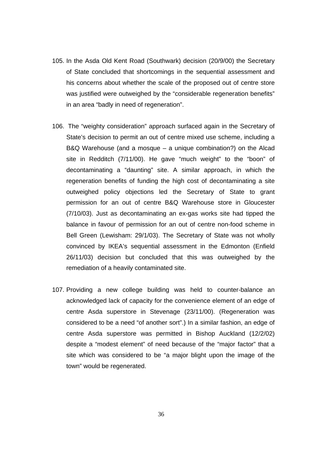- 105. In the Asda Old Kent Road (Southwark) decision (20/9/00) the Secretary of State concluded that shortcomings in the sequential assessment and his concerns about whether the scale of the proposed out of centre store was justified were outweighed by the "considerable regeneration benefits" in an area "badly in need of regeneration".
- 106. The "weighty consideration" approach surfaced again in the Secretary of State's decision to permit an out of centre mixed use scheme, including a B&Q Warehouse (and a mosque – a unique combination?) on the Alcad site in Redditch (7/11/00). He gave "much weight" to the "boon" of decontaminating a "daunting" site. A similar approach, in which the regeneration benefits of funding the high cost of decontaminating a site outweighed policy objections led the Secretary of State to grant permission for an out of centre B&Q Warehouse store in Gloucester (7/10/03). Just as decontaminating an ex-gas works site had tipped the balance in favour of permission for an out of centre non-food scheme in Bell Green (Lewisham: 29/1/03). The Secretary of State was not wholly convinced by IKEA's sequential assessment in the Edmonton (Enfield 26/11/03) decision but concluded that this was outweighed by the remediation of a heavily contaminated site.
- 107. Providing a new college building was held to counter-balance an acknowledged lack of capacity for the convenience element of an edge of centre Asda superstore in Stevenage (23/11/00). (Regeneration was considered to be a need "of another sort".) In a similar fashion, an edge of centre Asda superstore was permitted in Bishop Auckland (12/2/02) despite a "modest element" of need because of the "major factor" that a site which was considered to be "a major blight upon the image of the town" would be regenerated.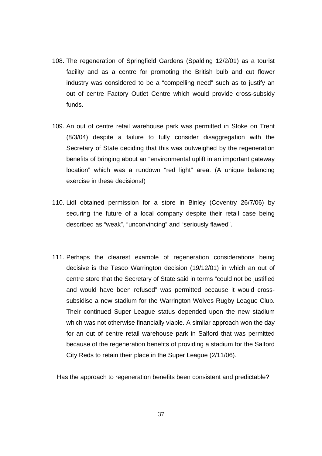- 108. The regeneration of Springfield Gardens (Spalding 12/2/01) as a tourist facility and as a centre for promoting the British bulb and cut flower industry was considered to be a "compelling need" such as to justify an out of centre Factory Outlet Centre which would provide cross-subsidy funds.
- 109. An out of centre retail warehouse park was permitted in Stoke on Trent (8/3/04) despite a failure to fully consider disaggregation with the Secretary of State deciding that this was outweighed by the regeneration benefits of bringing about an "environmental uplift in an important gateway location" which was a rundown "red light" area. (A unique balancing exercise in these decisions!)
- 110. Lidl obtained permission for a store in Binley (Coventry 26/7/06) by securing the future of a local company despite their retail case being described as "weak", "unconvincing" and "seriously flawed".
- 111. Perhaps the clearest example of regeneration considerations being decisive is the Tesco Warrington decision (19/12/01) in which an out of centre store that the Secretary of State said in terms "could not be justified and would have been refused" was permitted because it would crosssubsidise a new stadium for the Warrington Wolves Rugby League Club. Their continued Super League status depended upon the new stadium which was not otherwise financially viable. A similar approach won the day for an out of centre retail warehouse park in Salford that was permitted because of the regeneration benefits of providing a stadium for the Salford City Reds to retain their place in the Super League (2/11/06).

Has the approach to regeneration benefits been consistent and predictable?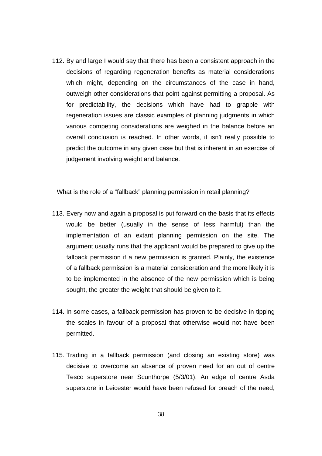112. By and large I would say that there has been a consistent approach in the decisions of regarding regeneration benefits as material considerations which might, depending on the circumstances of the case in hand, outweigh other considerations that point against permitting a proposal. As for predictability, the decisions which have had to grapple with regeneration issues are classic examples of planning judgments in which various competing considerations are weighed in the balance before an overall conclusion is reached. In other words, it isn't really possible to predict the outcome in any given case but that is inherent in an exercise of judgement involving weight and balance.

What is the role of a "fallback" planning permission in retail planning?

- 113. Every now and again a proposal is put forward on the basis that its effects would be better (usually in the sense of less harmful) than the implementation of an extant planning permission on the site. The argument usually runs that the applicant would be prepared to give up the fallback permission if a new permission is granted. Plainly, the existence of a fallback permission is a material consideration and the more likely it is to be implemented in the absence of the new permission which is being sought, the greater the weight that should be given to it.
- 114. In some cases, a fallback permission has proven to be decisive in tipping the scales in favour of a proposal that otherwise would not have been permitted.
- 115. Trading in a fallback permission (and closing an existing store) was decisive to overcome an absence of proven need for an out of centre Tesco superstore near Scunthorpe (5/3/01). An edge of centre Asda superstore in Leicester would have been refused for breach of the need,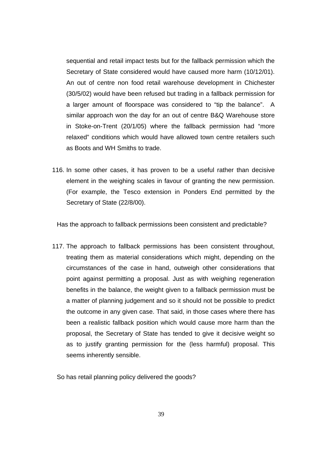sequential and retail impact tests but for the fallback permission which the Secretary of State considered would have caused more harm (10/12/01). An out of centre non food retail warehouse development in Chichester (30/5/02) would have been refused but trading in a fallback permission for a larger amount of floorspace was considered to "tip the balance". A similar approach won the day for an out of centre B&Q Warehouse store in Stoke-on-Trent (20/1/05) where the fallback permission had "more relaxed" conditions which would have allowed town centre retailers such as Boots and WH Smiths to trade.

116. In some other cases, it has proven to be a useful rather than decisive element in the weighing scales in favour of granting the new permission. (For example, the Tesco extension in Ponders End permitted by the Secretary of State (22/8/00).

Has the approach to fallback permissions been consistent and predictable?

117. The approach to fallback permissions has been consistent throughout, treating them as material considerations which might, depending on the circumstances of the case in hand, outweigh other considerations that point against permitting a proposal. Just as with weighing regeneration benefits in the balance, the weight given to a fallback permission must be a matter of planning judgement and so it should not be possible to predict the outcome in any given case. That said, in those cases where there has been a realistic fallback position which would cause more harm than the proposal, the Secretary of State has tended to give it decisive weight so as to justify granting permission for the (less harmful) proposal. This seems inherently sensible.

So has retail planning policy delivered the goods?